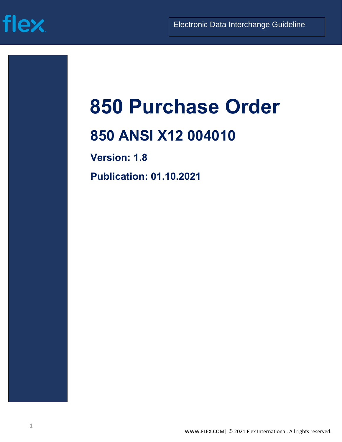# **flex**

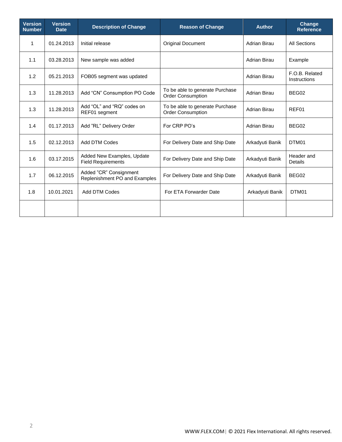| <b>Version</b><br><b>Number</b> | <b>Version</b><br><b>Date</b> | <b>Description of Change</b>                            | <b>Reason of Change</b>                                     | <b>Author</b>       | Change<br><b>Reference</b>     |
|---------------------------------|-------------------------------|---------------------------------------------------------|-------------------------------------------------------------|---------------------|--------------------------------|
| 1                               | 01.24.2013                    | Initial release                                         | <b>Original Document</b>                                    | Adrian Birau        | <b>All Sections</b>            |
| 1.1                             | 03.28.2013                    | New sample was added                                    |                                                             | Adrian Birau        | Example                        |
| 1.2                             | 05.21.2013                    | FOB05 segment was updated                               |                                                             | Adrian Birau        | F.O.B. Related<br>Instructions |
| 1.3                             | 11.28.2013                    | Add "CN" Consumption PO Code                            | To be able to generate Purchase<br><b>Order Consumption</b> | Adrian Birau        | BEG02                          |
| 1.3                             | 11.28.2013                    | Add "OL" and "RQ" codes on<br>REF01 segment             | To be able to generate Purchase<br><b>Order Consumption</b> | <b>Adrian Birau</b> | REF01                          |
| 1.4                             | 01.17.2013                    | Add "RL" Delivery Order                                 | For CRP PO's                                                | Adrian Birau        | BEG02                          |
| 1.5                             | 02.12.2013                    | <b>Add DTM Codes</b>                                    | For Delivery Date and Ship Date                             | Arkadyuti Banik     | DTM01                          |
| 1.6                             | 03.17.2015                    | Added New Examples, Update<br><b>Field Requirements</b> | For Delivery Date and Ship Date                             | Arkadyuti Banik     | Header and<br><b>Details</b>   |
| 1.7                             | 06.12.2015                    | Added "CR" Consignment<br>Replenishment PO and Examples | For Delivery Date and Ship Date                             | Arkadyuti Banik     | BEG02                          |
| 1.8                             | 10.01.2021                    | Add DTM Codes                                           | For ETA Forwarder Date                                      | Arkadyuti Banik     | DTM01                          |
|                                 |                               |                                                         |                                                             |                     |                                |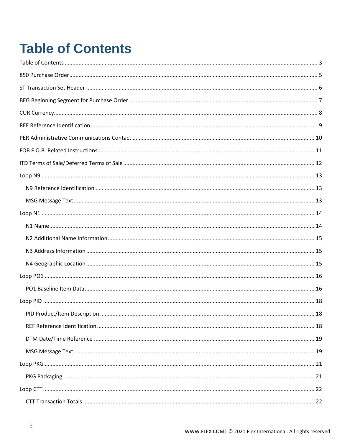# <span id="page-2-0"></span>**Table of Contents**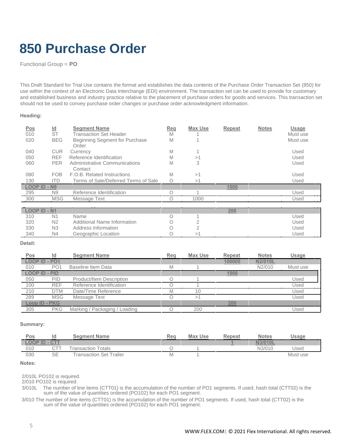# <span id="page-4-0"></span>**850 Purchase Order**

Functional Group = **PO**

This Draft Standard for Trial Use contains the format and establishes the data contents of the Purchase Order Transaction Set (850) for use within the context of an Electronic Data Interchange (EDI) environment. The transaction set can be used to provide for customary and established business and industry practice relative to the placement of purchase orders for goods and services. This transaction set should not be used to convey purchase order changes or purchase order acknowledgment information.

#### **Heading:**

| <b>Pos</b>          | $\underline{\mathsf{Id}}$ | <b>Segment Name</b>                      | Reg | <b>Max Use</b> | Repeat | <b>Notes</b> | <b>Usage</b> |
|---------------------|---------------------------|------------------------------------------|-----|----------------|--------|--------------|--------------|
| 010                 | <b>ST</b>                 | <b>Transaction Set Header</b>            | M   |                |        |              | Must use     |
| 020                 | <b>BEG</b>                | Beginning Segment for Purchase<br>Order  | M   |                |        |              | Must use     |
| 040                 | <b>CUR</b>                | Currency                                 | M   |                |        |              | Used         |
| 050                 | <b>REF</b>                | Reference Identification                 | M   | >1             |        |              | Used         |
| 060                 | <b>PER</b>                | Administrative Communications<br>Contact | M   | 3              |        |              | Used         |
| 080                 | <b>FOB</b>                | <b>F.O.B. Related Instructions</b>       | M   | >1             |        |              | Used         |
| 130                 | <b>ITD</b>                | Terms of Sale/Deferred Terms of Sale     | Ο   | >1             |        |              | Used         |
| <b>LOOP ID - N9</b> |                           |                                          |     |                | 1000   |              |              |
| 295                 | N <sub>9</sub>            | Reference Identification                 |     |                |        |              | Used         |
| 300                 | <b>MSG</b>                | Message Text                             |     | 1000           |        |              | Used         |

| LOOP ID - N1 |                |                             |  | 200 | ---  |
|--------------|----------------|-----------------------------|--|-----|------|
| 310          | N1             | Name                        |  |     | Used |
| 320          | N <sub>2</sub> | Additional Name Information |  |     | Used |
| 330          | N <sub>3</sub> | Address Information         |  |     | Used |
| 340          | N4             | Geographic Location         |  |     | Used |

**Detail:**

| Pos                  | Id              | <b>Segment Name</b>           | Reg | Max Use | <b>Repeat</b> | <b>Notes</b> | Usage    |
|----------------------|-----------------|-------------------------------|-----|---------|---------------|--------------|----------|
| LOOP ID - PO1        |                 |                               |     |         | 100000        | N2/010L      |          |
| 010                  | PO <sub>1</sub> | Baseline Item Data            | M   |         |               | N2/010       | Must use |
| <b>LOOP ID - PID</b> |                 |                               |     |         | 1000          |              |          |
| 050                  | PID             | Product/Item Description      |     |         |               |              | Used     |
| 100                  | <b>REF</b>      | Reference Identification      |     |         |               |              | Used     |
| 210                  | <b>DTM</b>      | Date/Time Reference           |     | 10      |               |              | Used     |
| 289                  | <b>MSG</b>      | Message Text                  |     |         |               |              | Used     |
| Loop ID - PKG        |                 |                               |     |         | 200           |              |          |
| 305                  | <b>PKG</b>      | Marking / Packaging / Loading |     | 200     |               |              | Used     |

#### **Summary:**

| Pos          | Id        | <b>Segment Name</b>            | Reg | <b>Max Use</b> | Repeat        | <b>Notes</b> | Usage    |
|--------------|-----------|--------------------------------|-----|----------------|---------------|--------------|----------|
| LOOP ID - CT | $P = 1$   |                                |     |                | <b>County</b> | N3/010L      |          |
| 010          |           | <b>Fransaction Totals</b>      |     |                |               | N3/010       | Used     |
| 030          | <b>SE</b> | <b>Transaction Set Trailer</b> |     |                |               |              | Must use |

#### **Notes:**

2/010L PO102 is required.

2/010 PO102 is required.

3/010L The number of line items (CTT01) is the accumulation of the number of PO1 segments. If used, hash total (CTT02) is the sum of the value of quantities ordered (PO102) for each PO1 segment.

3/010 The number of line items (CTT01) is the accumulation of the number of PO1 segments. If used, hash total (CTT02) is the sum of the value of quantities ordered (PO102) for each PO1 segment.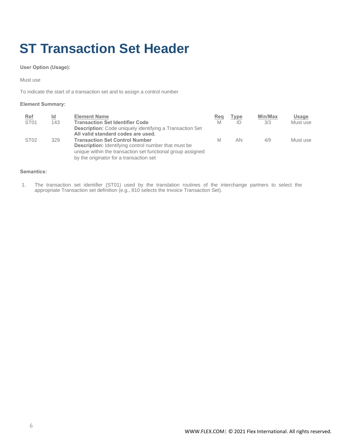# <span id="page-5-0"></span>**ST Transaction Set Header**

**User Option (Usage):**

Must use

To indicate the start of a transaction set and to assign a control number

#### **Element Summary:**

| <b>Ref</b><br>ST <sub>01</sub> | Id<br>143 | <b>Element Name</b><br><b>Transaction Set Identifier Code</b>                                                                                                                                                  | Reg<br>M | <b>Type</b><br>ID | Min/Max<br>3/3 | Usage<br>Must use |
|--------------------------------|-----------|----------------------------------------------------------------------------------------------------------------------------------------------------------------------------------------------------------------|----------|-------------------|----------------|-------------------|
|                                |           | <b>Description:</b> Code uniquely identifying a Transaction Set<br>All valid standard codes are used.                                                                                                          |          |                   |                |                   |
| ST <sub>02</sub>               | 329       | <b>Transaction Set Control Number</b><br><b>Description:</b> Identifying control number that must be<br>unique within the transaction set functional group assigned<br>by the originator for a transaction set | M        | AN.               | 4/9            | Must use          |

#### **Semantics:**

1. The transaction set identifier (ST01) used by the translation routines of the interchange partners to select the appropriate Transaction set definition (e.g., 810 selects the Invoice Transaction Set).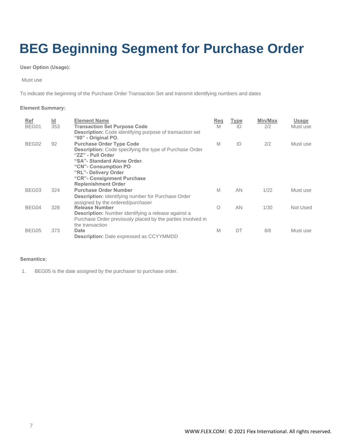# <span id="page-6-0"></span>**BEG Beginning Segment for Purchase Order**

#### **User Option (Usage):**

Must use

To indicate the beginning of the Purchase Order Transaction Set and transmit identifying numbers and dates

#### **Element Summary:**

| <b>Ref</b> | $\underline{\mathsf{Id}}$ | <b>Element Name</b>                                                                                                                                                                                                                                                 | Req | <u>Type</u> | Min/Max | Usage    |
|------------|---------------------------|---------------------------------------------------------------------------------------------------------------------------------------------------------------------------------------------------------------------------------------------------------------------|-----|-------------|---------|----------|
| BEG01      | 353                       | <b>Transaction Set Purpose Code</b><br><b>Description:</b> Code identifying purpose of transaction set<br>"00" - Original PO.                                                                                                                                       | M   | ID          | 2/2     | Must use |
| BEG02      | 92                        | <b>Purchase Order Type Code</b><br><b>Description:</b> Code specifying the type of Purchase Order<br>"ZZ" - Pull Order<br>"SA"- Standard Alone Order.<br>"CN" - Consumption PO<br>"RL"- Delivery Order<br>"CR" - Consignment Purchase<br><b>Replenishment Order</b> | M   | ID          | 2/2     | Must use |
| BEG03      | 324                       | <b>Purchase Order Number</b><br><b>Description:</b> Identifying number for Purchase Order<br>assigned by the ordered/purchaser                                                                                                                                      | M   | AN          | 1/22    | Must use |
| BEG04      | 328                       | <b>Release Number</b><br><b>Description:</b> Number identifying a release against a<br>Purchase Order previously placed by the parties involved in<br>the transaction                                                                                               | O   | <b>AN</b>   | 1/30    | Not Used |
| BEG05      | 373                       | Date<br><b>Description:</b> Date expressed as CCYYMMDD                                                                                                                                                                                                              | M   | DT          | 8/8     | Must use |

#### **Semantics:**

1. BEG05 is the date assigned by the purchaser to purchase order.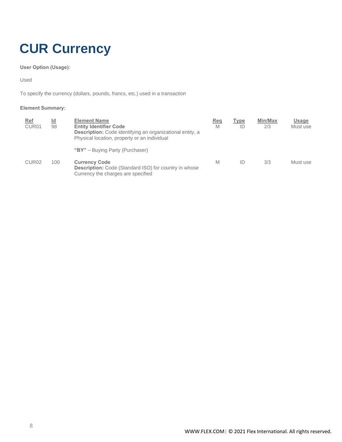# <span id="page-7-0"></span>**CUR Currency**

**User Option (Usage):**

Used

To specify the currency (dollars, pounds, francs, etc.) used in a transaction

| Ref<br>CUR <sub>01</sub> | <u>ld</u><br>98 | <b>Element Name</b><br><b>Entity Identifier Code</b><br><b>Description:</b> Code identifying an organizational entity, a<br>Physical location, property or an individual | Reg<br>M | Type<br>ID | Min/Max<br>2/3 | <b>Usage</b><br>Must use |
|--------------------------|-----------------|--------------------------------------------------------------------------------------------------------------------------------------------------------------------------|----------|------------|----------------|--------------------------|
|                          |                 | "BY" - Buying Party (Purchaser)                                                                                                                                          |          |            |                |                          |
| CUR <sub>02</sub>        | 100             | <b>Currency Code</b><br><b>Description:</b> Code (Standard ISO) for country in whose<br>Currency the charges are specified                                               | M        | ID         | 3/3            | Must use                 |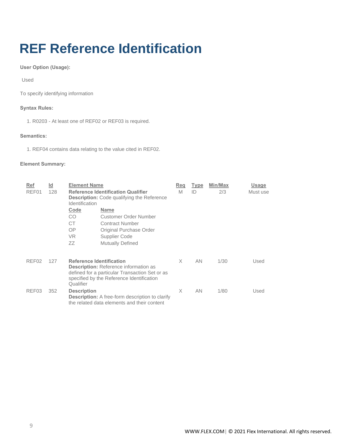# <span id="page-8-0"></span>**REF Reference Identification**

**User Option (Usage):**

Used

To specify identifying information

#### **Syntax Rules:**

1. R0203 - At least one of REF02 or REF03 is required.

#### **Semantics:**

1. REF04 contains data relating to the value cited in REF02.

| <b>Ref</b>        | $\underline{\mathsf{Id}}$ | <b>Element Name</b>                                                                                                                                                                         |                         | Req      | Type      | Min/Max | Usage    |
|-------------------|---------------------------|---------------------------------------------------------------------------------------------------------------------------------------------------------------------------------------------|-------------------------|----------|-----------|---------|----------|
| REF01<br>128      |                           | <b>Reference Identification Qualifier</b><br><b>Description:</b> Code qualifying the Reference<br>Identification                                                                            |                         | M        | ID        | 2/3     | Must use |
|                   |                           | Code<br><b>Name</b>                                                                                                                                                                         |                         |          |           |         |          |
|                   |                           | CO                                                                                                                                                                                          | Customer Order Number   |          |           |         |          |
|                   |                           | CT<br>Contract Number                                                                                                                                                                       |                         |          |           |         |          |
|                   |                           | OΡ                                                                                                                                                                                          | Original Purchase Order |          |           |         |          |
|                   |                           | VR.<br>Supplier Code                                                                                                                                                                        |                         |          |           |         |          |
|                   |                           | ΖZ<br><b>Mutually Defined</b>                                                                                                                                                               |                         |          |           |         |          |
| REF02             | 127                       | <b>Reference Identification</b><br><b>Description:</b> Reference information as<br>defined for a particular Transaction Set or as<br>specified by the Reference Identification<br>Qualifier |                         | $\times$ | <b>AN</b> | 1/30    | Used     |
| REF <sub>03</sub> | 352                       | <b>Description</b><br><b>Description:</b> A free-form description to clarify<br>the related data elements and their content                                                                 |                         | X        | AN.       | 1/80    | Used     |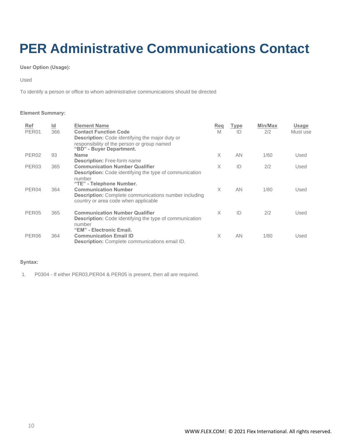# <span id="page-9-0"></span>**PER Administrative Communications Contact**

**User Option (Usage):**

Used

To identify a person or office to whom administrative communications should be directed

#### **Element Summary:**

| <b>Ref</b><br>PER <sub>01</sub> | $\underline{\mathsf{Id}}$<br>366 | <b>Element Name</b><br><b>Contact Function Code</b>                                                                                                                       | Reg<br>M | Type<br>ID | Min/Max<br>2/2 | <u>Usage</u><br>Must use |
|---------------------------------|----------------------------------|---------------------------------------------------------------------------------------------------------------------------------------------------------------------------|----------|------------|----------------|--------------------------|
|                                 |                                  | <b>Description:</b> Code identifying the major duty or<br>responsibility of the person or group named<br>"BD" - Buyer Department.                                         |          |            |                |                          |
| PER <sub>02</sub>               | 93                               | <b>Name</b>                                                                                                                                                               | $\times$ | AN         | 1/60           | Used                     |
| PER <sub>03</sub>               | 365                              | <b>Description:</b> Free-form name<br><b>Communication Number Qualifier</b><br><b>Description:</b> Code identifying the type of communication                             | $\times$ | ID         | 2/2            | Used                     |
| PER04                           | 364                              | number<br>"TE" - Telephone Number.<br><b>Communication Number</b><br><b>Description:</b> Complete communications number including<br>country or area code when applicable | $\times$ | <b>AN</b>  | 1/80           | Used                     |
| PER <sub>05</sub>               | 365                              | <b>Communication Number Qualifier</b><br><b>Description:</b> Code identifying the type of communication<br>number                                                         | $\times$ | ID         | 2/2            | Used                     |
| PER <sub>06</sub>               | 364                              | "EM" - Electronic Email.<br><b>Communication Email ID</b><br><b>Description:</b> Complete communications email ID.                                                        | X        | AN         | 1/80           | Used                     |

#### **Syntax:**

1. P0304 - If either PER03,PER04 & PER05 is present, then all are required.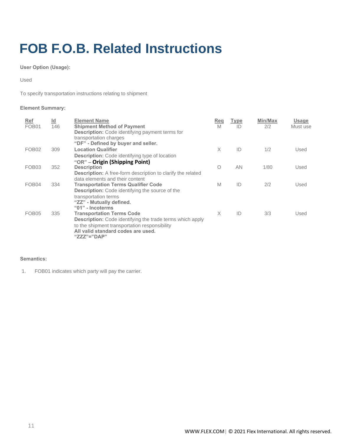# <span id="page-10-0"></span>**FOB F.O.B. Related Instructions**

**User Option (Usage):**

Used

To specify transportation instructions relating to shipment

### **Element Summary:**

| <b>Ref</b><br>FOB <sub>01</sub> | $\underline{\mathsf{Id}}$<br>146 | <b>Element Name</b><br><b>Shipment Method of Payment</b><br><b>Description:</b> Code identifying payment terms for<br>transportation charges<br>"DF" - Defined by buyer and seller.                        | Reg<br>M | Type<br>ID | Min/Max<br>2/2 | <b>Usage</b><br>Must use |
|---------------------------------|----------------------------------|------------------------------------------------------------------------------------------------------------------------------------------------------------------------------------------------------------|----------|------------|----------------|--------------------------|
| FOB <sub>02</sub>               | 309                              | <b>Location Qualifier</b><br><b>Description:</b> Code identifying type of location<br>"OR" - Origin (Shipping Point)                                                                                       | $\times$ | ID         | 1/2            | Used                     |
| FOB <sub>03</sub>               | 352                              | <b>Description</b><br><b>Description:</b> A free-form description to clarify the related<br>data elements and their content                                                                                | O        | AN         | 1/80           | Used                     |
| FOB <sub>04</sub>               | 334                              | <b>Transportation Terms Qualifier Code</b><br><b>Description:</b> Code identifying the source of the<br>transportation terms<br>"ZZ" - Mutually defined.<br>"01" - Incoterms                               | M        | ID         | 2/2            | Used                     |
| FOB <sub>05</sub>               | 335                              | <b>Transportation Terms Code</b><br><b>Description:</b> Code identifying the trade terms which apply<br>to the shipment transportation responsibility<br>All valid standard codes are used.<br>"ZZZ"="DAP" | $\times$ | ID         | 3/3            | Used                     |

#### **Semantics:**

1. FOB01 indicates which party will pay the carrier.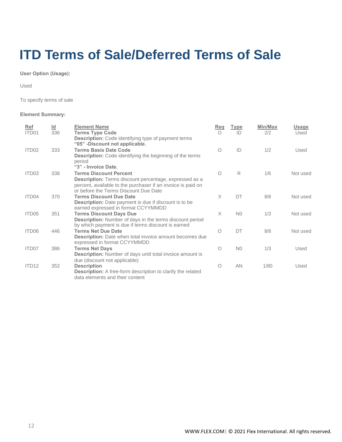### <span id="page-11-0"></span>**ITD Terms of Sale/Deferred Terms of Sale**

**User Option (Usage):**

Used

To specify terms of sale

| <b>Ref</b>        | $\underline{\mathsf{Id}}$ | <b>Element Name</b>                                                                          | Reg        | Type           | Min/Max | <b>Usage</b> |
|-------------------|---------------------------|----------------------------------------------------------------------------------------------|------------|----------------|---------|--------------|
| ITD01             | 336                       | <b>Terms Type Code</b>                                                                       | $\bigcap$  | ID             | 2/2     | Used         |
|                   |                           | <b>Description:</b> Code identifying type of payment terms<br>"05" -Discount not applicable. |            |                |         |              |
| ITD02             | 333                       | <b>Terms Basis Date Code</b>                                                                 | $\bigcirc$ | ID             | 1/2     | Used         |
|                   |                           | <b>Description:</b> Code identifying the beginning of the terms                              |            |                |         |              |
|                   |                           | period                                                                                       |            |                |         |              |
|                   |                           | "3" - Invoice Date.                                                                          |            |                |         |              |
| ITD <sub>03</sub> | 338                       | <b>Terms Discount Percent</b>                                                                | 0          | R              | 1/6     | Not used     |
|                   |                           | <b>Description:</b> Terms discount percentage, expressed as a                                |            |                |         |              |
|                   |                           | percent, available to the purchaser if an invoice is paid on                                 |            |                |         |              |
|                   |                           | or before the Terms Discount Due Date                                                        |            |                |         |              |
| ITD04             | 370                       | <b>Terms Discount Due Date</b>                                                               | X          | DT             | 8/8     | Not used     |
|                   |                           | <b>Description:</b> Date payment is due if discount is to be                                 |            |                |         |              |
|                   |                           | earned expressed in format CCYYMMDD                                                          |            |                |         |              |
| ITD05             | 351                       | <b>Terms Discount Days Due</b>                                                               | X          | N <sub>0</sub> | 1/3     | Not used     |
|                   |                           | <b>Description:</b> Number of days in the terms discount period                              |            |                |         |              |
|                   |                           | by which payment is due if terms discount is earned                                          |            |                |         |              |
| ITD06             | 446                       | <b>Terms Net Due Date</b>                                                                    | O          | DT             | 8/8     | Not used     |
|                   |                           | <b>Description:</b> Date when total invoice amount becomes due                               |            |                |         |              |
|                   |                           | expressed in format CCYYMMDD                                                                 | $\circ$    |                |         |              |
| ITD07             | 386                       | <b>Terms Net Days</b>                                                                        |            | N <sub>0</sub> | 1/3     | Used         |
|                   |                           | Description: Number of days until total invoice amount is                                    |            |                |         |              |
| ITD <sub>12</sub> | 352                       | due (discount not applicable)<br><b>Description</b>                                          | O          | <b>AN</b>      | 1/80    | Used         |
|                   |                           | <b>Description:</b> A free-form description to clarify the related                           |            |                |         |              |
|                   |                           | data elements and their content                                                              |            |                |         |              |
|                   |                           |                                                                                              |            |                |         |              |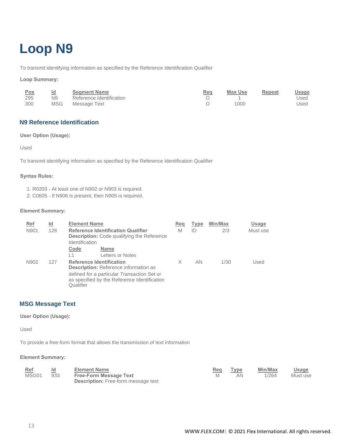# <span id="page-12-0"></span>**Loop N9**

To transmit identifying information as specified by the Reference Identification Qualifier

#### **Loop Summary:**

| <u>Pos</u> | <u>ld</u>      | <b>Segment Name</b>      | <b>Req</b> | <b>Max Use</b> | Repeat | <u>Usage</u> |
|------------|----------------|--------------------------|------------|----------------|--------|--------------|
| 295        | N <sub>9</sub> | Reference Identification |            |                |        | Used         |
| 300        | MSG            | Message Text             |            | 1000           |        | Used         |

### <span id="page-12-1"></span>**N9 Reference Identification**

#### **User Option (Usage):**

Used

To transmit identifying information as specified by the Reference Identification Qualifier

#### **Syntax Rules:**

- 1. R0203 At least one of N902 or N903 is required.
- 2. C0605 If N906 is present, then N905 is required.

#### **Element Summary:**

| <b>Ref</b> | ld. | <b>Element Name</b> |                                                                                                | Reg | <b>Type</b> | Min/Max | <b>Usage</b> |
|------------|-----|---------------------|------------------------------------------------------------------------------------------------|-----|-------------|---------|--------------|
| N901       | 128 | Identification      | <b>Reference Identification Qualifier</b><br><b>Description:</b> Code qualifying the Reference | M   | ID          | 2/3     | Must use     |
|            |     | Code                | <b>Name</b>                                                                                    |     |             |         |              |
|            |     | l 1                 | Letters or Notes                                                                               |     |             |         |              |
| N902       | 127 |                     | <b>Reference Identification</b><br><b>Description:</b> Reference information as                | X   | AN.         | 1/30    | Used         |
|            |     | Qualifier           | defined for a particular Transaction Set or<br>as specified by the Reference Identification    |     |             |         |              |

#### <span id="page-12-2"></span>**MSG Message Text**

#### **User Option (Usage):**

Used

To provide a free-form format that allows the transmission of text information

| Ref   |     | <b>Element Name</b>                        | Req | Type | Min/Max | Usage    |
|-------|-----|--------------------------------------------|-----|------|---------|----------|
| MSG01 | 933 | <b>Free-Form Message Text</b>              |     | AΝ   | 1/264   | Must use |
|       |     | <b>Description:</b> Free-form message text |     |      |         |          |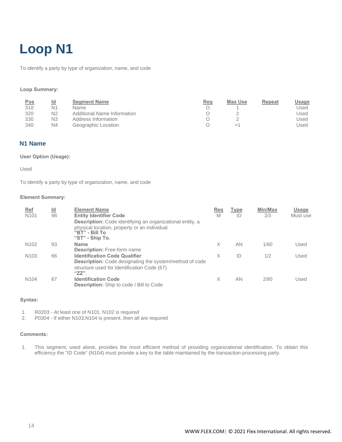# <span id="page-13-0"></span>**Loop N1**

To identify a party by type of organization, name, and code

#### **Loop Summary:**

| <u>Pos</u><br>310 | <u>ld</u><br>N1      | <b>Segment Name</b><br>Name                | Rea | Max Use | Repeat | <u>Usage</u><br>Used |
|-------------------|----------------------|--------------------------------------------|-----|---------|--------|----------------------|
| 320               | N2                   | Additional Name Information                |     |         |        | Used                 |
| 330<br>340        | N3<br>N <sub>4</sub> | Address Information<br>Geographic Location |     |         |        | Used<br>Jsed         |

#### <span id="page-13-1"></span>**N1 Name**

#### **User Option (Usage):**

#### Used

To identify a party by type of organization, name, and code

#### **Element Summary:**

| <b>Ref</b><br>N <sub>101</sub> | <u>ld</u><br>98 | <b>Element Name</b><br><b>Entity Identifier Code</b><br><b>Description:</b> Code identifying an organizational entity, a<br>physical location, property or an individual<br>"BT" - Bill To<br>"ST" - Ship To. | Reg<br>M | Type<br>ID | Min/Max<br>2/3 | <b>Usage</b><br>Must use |
|--------------------------------|-----------------|---------------------------------------------------------------------------------------------------------------------------------------------------------------------------------------------------------------|----------|------------|----------------|--------------------------|
| N <sub>102</sub>               | 93              | <b>Name</b><br><b>Description:</b> Free-form name                                                                                                                                                             | X        | AN         | 1/60           | Used                     |
| N <sub>103</sub>               | 66              | <b>Identification Code Qualifier</b><br><b>Description:</b> Code designating the system/method of code<br>structure used for Identification Code (67)<br>$"ZZ"$ .                                             | X        | ID         | 1/2            | Used                     |
| N <sub>104</sub>               | 67              | <b>Identification Code</b><br><b>Description:</b> Ship to code / Bill to Code                                                                                                                                 | X        | AN         | 2/80           | Used                     |

#### **Syntax:**

1. R0203 - At least one of N101, N102 is required

2. P0304 - If either N103,N104 is present, then all are required

#### **Comments:**

1. This segment, used alone, provides the most efficient method of providing organizational identification. To obtain this efficiency the "ID Code" (N104) must provide a key to the table maintained by the transaction processing party.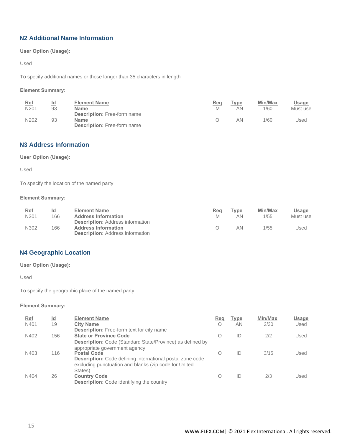### <span id="page-14-0"></span>**N2 Additional Name Information**

**User Option (Usage):**

Used

To specify additional names or those longer than 35 characters in length

#### **Element Summary:**

| Ref  | Id | <b>Element Name</b>                               | Req | Type | Min/Max | Usage    |
|------|----|---------------------------------------------------|-----|------|---------|----------|
| N201 | 93 | <b>Name</b><br><b>Description:</b> Free-form name | M   | ΑN   | 1/60    | Must use |
| N202 | 93 | <b>Name</b><br><b>Description:</b> Free-form name |     | ΑN   | 1/60    | Jsed     |

### <span id="page-14-1"></span>**N3 Address Information**

**User Option (Usage):**

Used

To specify the location of the named party

#### **Element Summary:**

| <u>Ref</u><br><u>ld</u><br>N301<br>166 | <b>Element Name</b><br><b>Address Information</b>                                                                | Req<br>M | Type<br>AN | Min/Max<br>1/55 | Usage<br>Must use |
|----------------------------------------|------------------------------------------------------------------------------------------------------------------|----------|------------|-----------------|-------------------|
| N302<br>166                            | <b>Description:</b> Address information<br><b>Address Information</b><br><b>Description:</b> Address information |          | AN         | 1/55            | Used              |

### <span id="page-14-2"></span>**N4 Geographic Location**

**User Option (Usage):**

Used

To specify the geographic place of the named party

| <b>Ref</b> | ld<br>-- | <b>Element Name</b>                                                                                                                                        | Reg       | Type | Min/Max | Usage |
|------------|----------|------------------------------------------------------------------------------------------------------------------------------------------------------------|-----------|------|---------|-------|
| N401       | 19       | <b>City Name</b><br><b>Description:</b> Free-form text for city name                                                                                       |           | ΑN   | 2/30    | Used  |
| N402       | 156      | <b>State or Province Code</b><br><b>Description:</b> Code (Standard State/Province) as defined by<br>appropriate government agency                         | $\bigcap$ | ID   | 2/2     | Used  |
| N403       | 116      | <b>Postal Code</b><br><b>Description:</b> Code defining international postal zone code<br>excluding punctuation and blanks (zip code for United<br>States) | O         | ID   | 3/15    | Used  |
| N404       | 26       | <b>Country Code</b><br><b>Description:</b> Code identifying the country                                                                                    |           | ID   | 2/3     | Used  |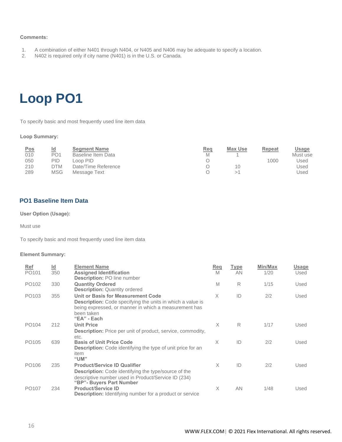#### **Comments:**

- 1. A combination of either N401 through N404, or N405 and N406 may be adequate to specify a location.
- 2. N402 is required only if city name (N401) is in the U.S. or Canada.

### <span id="page-15-0"></span>**Loop PO1**

To specify basic and most frequently used line item data

#### **Loop Summary:**

| <b>Pos</b> | <u>ld</u>  | <b>Seament Name</b> | <u>Req</u> | Max Use | Repeat | Usage    |
|------------|------------|---------------------|------------|---------|--------|----------|
| 010        | PO1        | Baseline Item Data  | M          |         |        | Must use |
| 050        | PID        | _oop PID -          |            |         | 1000   | Used     |
| 210        | DTM        | Date/Time Reference |            | 10      |        | Used     |
| 289        | <b>MSG</b> | Message Text        |            |         |        | Jsed     |

#### <span id="page-15-1"></span>**PO1 Baseline Item Data**

#### **User Option (Usage):**

Must use

To specify basic and most frequently used line item data

| Ref               | $\underline{\mathsf{Id}}$ | <b>Element Name</b>                                                                                                                                                                           | Reg      | Type | Min/Max | Usage |
|-------------------|---------------------------|-----------------------------------------------------------------------------------------------------------------------------------------------------------------------------------------------|----------|------|---------|-------|
| PO101             | 350                       | <b>Assigned Identification</b><br><b>Description: PO line number</b>                                                                                                                          | M        | AN   | 1/20    | Used  |
| PO102             | 330                       | <b>Quantity Ordered</b><br><b>Description: Quantity ordered</b>                                                                                                                               | M        | R    | 1/15    | Used  |
| PO <sub>103</sub> | 355                       | Unit or Basis for Measurement Code<br><b>Description:</b> Code specifying the units in which a value is<br>being expressed, or manner in which a measurement has<br>been taken<br>"EA" - Each | X        | ID   | 2/2     | Used  |
| PO <sub>104</sub> | 212                       | <b>Unit Price</b><br><b>Description:</b> Price per unit of product, service, commodity,<br>etc.                                                                                               | $\times$ | R    | 1/17    | Used  |
| PO <sub>105</sub> | 639                       | <b>Basis of Unit Price Code</b><br><b>Description:</b> Code identifying the type of unit price for an<br>item<br>"UM"                                                                         | X        | ID   | 2/2     | Used  |
| PO106             | 235                       | <b>Product/Service ID Qualifier</b><br><b>Description:</b> Code identifying the type/source of the<br>descriptive number used in Product/Service ID (234)<br>"BP"- Buyers Part Number         | $\times$ | ID   | 2/2     | Used  |
| PO <sub>107</sub> | 234                       | <b>Product/Service ID</b><br><b>Description:</b> Identifying number for a product or service                                                                                                  | X        | AN   | 1/48    | Used  |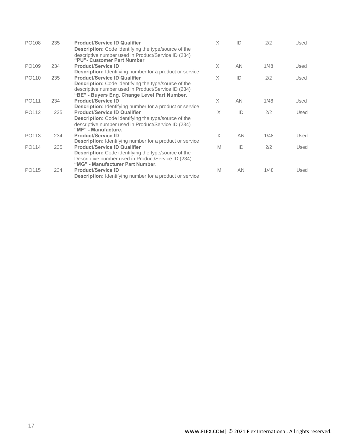| PO <sub>108</sub> | 235 | <b>Product/Service ID Qualifier</b><br><b>Description:</b> Code identifying the type/source of the<br>descriptive number used in Product/Service ID (234)<br>"PU"- Customer Part Number                                                                                      | $\times$ | ID        | 2/2  | Used |
|-------------------|-----|------------------------------------------------------------------------------------------------------------------------------------------------------------------------------------------------------------------------------------------------------------------------------|----------|-----------|------|------|
| PO <sub>109</sub> | 234 | <b>Product/Service ID</b>                                                                                                                                                                                                                                                    | X        | AN.       | 1/48 | Used |
| PO110             | 235 | <b>Description:</b> Identifying number for a product or service<br><b>Product/Service ID Qualifier</b><br><b>Description:</b> Code identifying the type/source of the<br>descriptive number used in Product/Service ID (234)<br>"BE" - Buyers Eng. Change Level Part Number. | $\times$ | ID        | 2/2  | Used |
| PO111             | 234 | <b>Product/Service ID</b>                                                                                                                                                                                                                                                    | X        | AN.       | 1/48 | Used |
| PO112             | 235 | <b>Description:</b> Identifying number for a product or service<br><b>Product/Service ID Qualifier</b><br><b>Description:</b> Code identifying the type/source of the<br>descriptive number used in Product/Service ID (234)<br>"MF" - Manufacture.                          | X        | ID        | 2/2  | Used |
| PO113             | 234 | <b>Product/Service ID</b><br><b>Description:</b> Identifying number for a product or service                                                                                                                                                                                 | X        | AN.       | 1/48 | Used |
| PO114             | 235 | <b>Product/Service ID Qualifier</b><br><b>Description:</b> Code identifying the type/source of the<br>Descriptive number used in Product/Service ID (234)<br>"MG" - Manufacturer Part Number.                                                                                | M        | ID        | 2/2  | Used |
| PO115             | 234 | <b>Product/Service ID</b><br><b>Description:</b> Identifying number for a product or service                                                                                                                                                                                 | M        | <b>AN</b> | 1/48 | Used |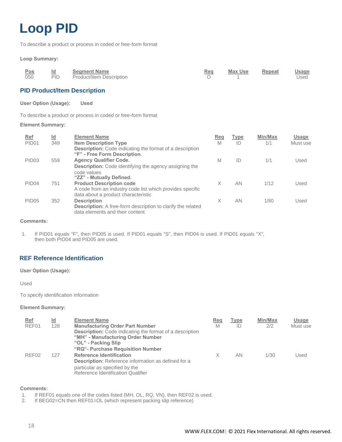# <span id="page-17-0"></span>**Loop PID**

To describe a product or process in coded or free-form format

#### **Loop Summary:**

| Pos | <u>ld</u>  | <b>Segment Name</b>      | <b>Req</b> | Max Use | Repeat | <b>Usage</b> |
|-----|------------|--------------------------|------------|---------|--------|--------------|
| 050 | <b>PID</b> | Product/Item Description |            |         |        | Used         |

#### <span id="page-17-1"></span>**PID Product/Item Description**

**User Option (Usage): Used**

To describe a product or process in coded or free-form format

#### **Element Summary:**

| <b>Ref</b><br>PID <sub>01</sub> | $\underline{\mathsf{Id}}$<br>349 | <b>Element Name</b><br><b>Item Description Type</b>                                                   | Reg<br>M | Type<br>ID | Min/Max<br>1/1 | Usage<br>Must use |
|---------------------------------|----------------------------------|-------------------------------------------------------------------------------------------------------|----------|------------|----------------|-------------------|
|                                 |                                  | <b>Description:</b> Code indicating the format of a description<br>"F" - Free Form Description.       |          |            |                |                   |
| PID <sub>03</sub>               | 559                              | <b>Agency Qualifier Code.</b>                                                                         | M        | ID         | 1/1            | Used              |
|                                 |                                  | <b>Description:</b> Code identifying the agency assigning the                                         |          |            |                |                   |
|                                 |                                  | code values<br>"ZZ" - Mutually Defined.                                                               |          |            |                |                   |
| PID <sub>04</sub>               | 751                              | <b>Product Description code</b>                                                                       | X        | AN         | 1/12           | Used              |
|                                 |                                  | A code from an industry code list which provides specific<br>data about a product characteristic      |          |            |                |                   |
| PID <sub>05</sub>               | 352                              | <b>Description</b>                                                                                    | X        | AN         | 1/80           | Used              |
|                                 |                                  | <b>Description:</b> A free-form description to clarify the related<br>data elements and their content |          |            |                |                   |

#### **Comments:**

1. If PID01 equals "F", then PID05 is used. If PID01 equals "S", then PID04 is used. If PID01 equals "X", then both PID04 and PID05 are used.

### <span id="page-17-2"></span>**REF Reference Identification**

**User Option (Usage):**

Used

To specify identification information

#### **Element Summary:**

| Ref<br>REF01 | $\underline{\mathsf{Id}}$<br>128 | <b>Element Name</b><br><b>Manufacturing Order Part Number</b><br><b>Description:</b> Code indicating the format of a description<br>"MH" - Manufacturing Order Number<br>"OL" - Packing Slip<br>"RQ" - Purchase Requisition Number | <b>Req</b><br>M | <b>Type</b><br>ID | Min/Max<br>2/2 | Usage<br>Must use |
|--------------|----------------------------------|------------------------------------------------------------------------------------------------------------------------------------------------------------------------------------------------------------------------------------|-----------------|-------------------|----------------|-------------------|
| REF02        | 127                              | <b>Reference Identification</b><br><b>Description:</b> Reference information as defined for a<br>particular as specified by the<br>Reference Identification Qualifier                                                              | Χ               | AN                | 1/30           | Used              |

#### **Comments:**

1. If REF01 equals one of the codes listed (MH, OL, RQ, VN), then REF02 is used.

2. If BEG02=CN then REF01=OL (which represent packing slip reference)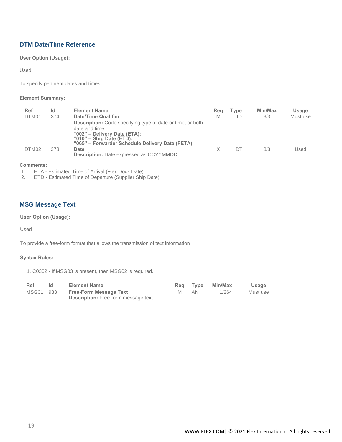### <span id="page-18-0"></span>**DTM Date/Time Reference**

**User Option (Usage):**

Used

To specify pertinent dates and times

#### **Element Summary:**

| <b>Ref</b><br>DTM01 | <u>ld</u><br>374 | <b>Element Name</b><br><b>Date/Time Qualifier</b><br><b>Description:</b> Code specifying type of date or time, or both<br>date and time<br>" $002"$ – Delivery Date (ETA);<br>" $010"$ – Ship Date (ETD).<br>"065" – Forwarder Schedule Delivery Date (FETA) | Reg<br>M | <b>Type</b><br>ID | Min/Max<br>3/3 | Usage<br>Must use |
|---------------------|------------------|--------------------------------------------------------------------------------------------------------------------------------------------------------------------------------------------------------------------------------------------------------------|----------|-------------------|----------------|-------------------|
| DTM <sub>02</sub>   | 373              | Date<br><b>Description:</b> Date expressed as CCYYMMDD                                                                                                                                                                                                       |          | DΤ                | 8/8            | Used              |

#### **Comments:**

1. ETA - Estimated Time of Arrival (Flex Dock Date).<br>2. ETD - Estimated Time of Departure (Supplier Ship

2. ETD - Estimated Time of Departure (Supplier Ship Date)

### <span id="page-18-1"></span>**MSG Message Text**

**User Option (Usage):**

Used

To provide a free-form format that allows the transmission of text information

#### **Syntax Rules:**

1. C0302 - If MSG03 is present, then MSG02 is required.

| Ref       | ld. | <b>Element Name</b>                        | Reg | Type | Min/Max | <u>Usage</u> |
|-----------|-----|--------------------------------------------|-----|------|---------|--------------|
| MSG01 933 |     | <b>Free-Form Message Text</b>              | M   | AN.  | 1/264   | Must use     |
|           |     | <b>Description:</b> Free-form message text |     |      |         |              |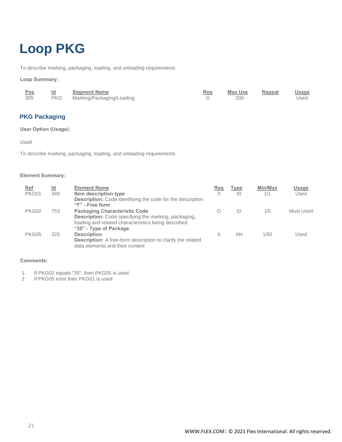# <span id="page-20-0"></span>**Loop PKG**

To describe marking, packaging, loading, and unloading requirements

#### **Loop Summary:**

| <u>Pos</u> | <b>Segment Name</b>           | Req | Max Use | Repeat | <b>Usage</b> |
|------------|-------------------------------|-----|---------|--------|--------------|
| 305        | PKG Marking/Packaging/Loading |     | 200     |        | Used         |

### <span id="page-20-1"></span>**PKG Packaging**

**User Option (Usage):**

Used

To describe marking, packaging, loading, and unloading requirements

#### **Element Summary:**

| <u>Ref</u><br>PKG01 | Id<br>349 | <b>Element Name</b><br>Item description type<br><b>Description:</b> Code identifying the code for the description<br>"F" - Free form                                                 | Reg<br>Χ | <b>Type</b><br>ID | Min/Max<br>1/1 | <b>Usage</b><br>Used |
|---------------------|-----------|--------------------------------------------------------------------------------------------------------------------------------------------------------------------------------------|----------|-------------------|----------------|----------------------|
| PKG02               | 753       | <b>Packaging Characteristic Code</b><br><b>Description:</b> Code specifying the marking, packaging,<br>loading and related characteristics being described<br>"35" - Type of Package | O        | ID                | 1/5            | Must Used            |
| PKG05               | 325       | <b>Description</b><br><b>Description:</b> A free-form description to clarify the related<br>data elements and their content                                                          | Х        | AN                | 1/80           | Used                 |

#### **Comments:**

1. If PKG02 equals "35", then PKG05 is used.

2 If PKG05 exist then PKG01 is used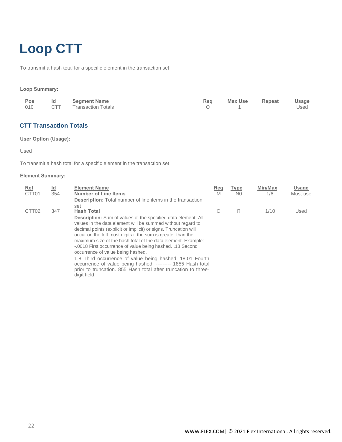# <span id="page-21-0"></span>**Loop CTT**

To transmit a hash total for a specific element in the transaction set

#### **Loop Summary:**

| <u>Pos</u> | Id         | Segment Name              | Rea | <b>Max Use</b> | Repeat | <u>Usage</u> |
|------------|------------|---------------------------|-----|----------------|--------|--------------|
| 010        | <b>CTT</b> | <b>Transaction Totals</b> |     |                |        | Used         |

### <span id="page-21-1"></span>**CTT Transaction Totals**

#### **User Option (Usage):**

Used

To transmit a hash total for a specific element in the transaction set

| <u>Ref</u><br>CTT01 | $\underline{\mathsf{Id}}$<br>354 | <b>Element Name</b><br><b>Number of Line Items</b><br><b>Description:</b> Total number of line items in the transaction                                                                                                                                                                                                                                                                                                                                                                                                                                                                                                                               | Req<br>M | <b>Type</b><br>N <sub>0</sub> | Min/Max<br>1/6 | <b>Usage</b><br>Must use |
|---------------------|----------------------------------|-------------------------------------------------------------------------------------------------------------------------------------------------------------------------------------------------------------------------------------------------------------------------------------------------------------------------------------------------------------------------------------------------------------------------------------------------------------------------------------------------------------------------------------------------------------------------------------------------------------------------------------------------------|----------|-------------------------------|----------------|--------------------------|
| CTT <sub>02</sub>   | 347                              | set<br><b>Hash Total</b>                                                                                                                                                                                                                                                                                                                                                                                                                                                                                                                                                                                                                              | Ο        | R                             | 1/10           | Used                     |
|                     |                                  | <b>Description:</b> Sum of values of the specified data element. All<br>values in the data element will be summed without regard to<br>decimal points (explicit or implicit) or signs. Truncation will<br>occur on the left most digits if the sum is greater than the<br>maximum size of the hash total of the data element. Example:<br>-.0018 First occurrence of value being hashed. .18 Second<br>occurrence of value being hashed.<br>1.8 Third occurrence of value being hashed. 18.01 Fourth<br>occurrence of value being hashed. --------- 1855 Hash total<br>prior to truncation. 855 Hash total after truncation to three-<br>digit field. |          |                               |                |                          |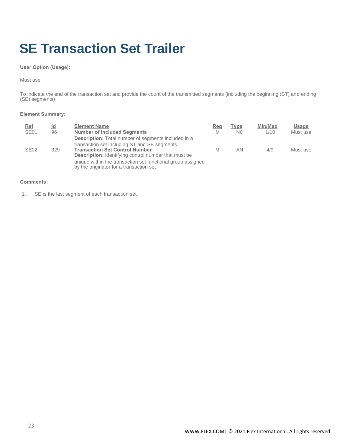# <span id="page-22-0"></span>**SE Transaction Set Trailer**

#### **User Option (Usage):**

#### Must use

To indicate the end of the transaction set and provide the count of the transmitted segments (including the beginning (ST) and ending (SE) segments)

#### **Element Summary:**

| Ref<br><b>SE01</b> | <u>ld</u><br>96 | <b>Element Name</b><br><b>Number of Included Segments</b>                                                  | Req<br>M | <b>Type</b><br>N <sub>0</sub> | Min/Max<br>1/10 | Usage<br>Must use |
|--------------------|-----------------|------------------------------------------------------------------------------------------------------------|----------|-------------------------------|-----------------|-------------------|
|                    |                 | <b>Description:</b> Total number of segments included in a<br>transaction set including ST and SE segments |          |                               |                 |                   |
| <b>SE02</b>        | 329             | <b>Transaction Set Control Number</b><br><b>Description:</b> Identifying control number that must be       | М        | AN                            | 4/9             | Must use          |
|                    |                 | unique within the transaction set functional group assigned<br>by the originator for a transaction set     |          |                               |                 |                   |

#### **Comments:**

1. SE is the last segment of each transaction set.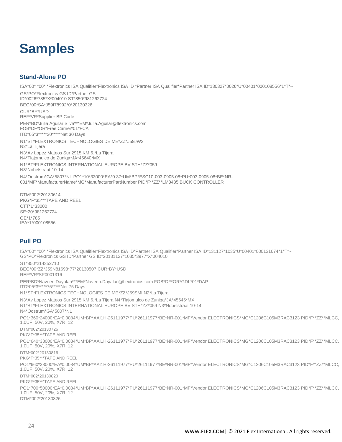### <span id="page-23-0"></span>**Samples**

### <span id="page-23-1"></span>**Stand-Alone PO**

ISA\*00\* \*00\* \*Flextronics ISA Qualifier\*Flextronics ISA ID \*Partner ISA Qualifier\*Partner ISA ID\*130327\*0026\*U\*00401\*000108556\*1\*T\*~

GS\*PO\*Flextronics GS ID\*Partner GS ID\*0026\*785\*X\*004010 ST\*850\*981262724 BEG\*00\*SA\*J59I78992\*0\*20130326

CUR\*BY\*USD REF\*VR\*Supplier BP Code PER\*BD\*Julia Aguilar Silva\*\*\*EM\*Julia.Aguilar@flextronics.com FOB\*DF\*OR\*Free Carrier\*01\*FCA ITD\*05\*3\*\*\*\*\*30\*\*\*\*\*Net 30 Days

N1\*ST\*FLEXTRONICS TECHNOLOGIES DE ME\*ZZ\*J59JW2 N2\*La Tijera

N3\*Av Lopez Mateos Sur 2915 KM 6.\*La Tijera N4\*Tlajomulco de Zuniga\*JA\*45640\*MX

N1\*BT\*FLEXTRONICS INTERNATIONAL EUROPE BV STH\*ZZ\*059 N3\*Nobelstraat 10-14

N4\*Oostrum\*GA\*5807\*NL PO1\*10\*33000\*EA\*0.37\*UM\*BP\*ESC10-003-0905-08\*PU\*003-0905-08\*BE\*NR-001\*MF\*ManufacturerName\*MG\*ManufacturerPartNumber PID\*F\*\*ZZ\*\*LM3485 BUCK CONTROLLER

DTM\*002\*20130614 PKG\*F\*35\*\*\*TAPE AND REEL CTT\*1\*33000 SE\*20\*981262724 GE\*1\*785 IEA\*1\*000108556

### <span id="page-23-2"></span>**Pull PO**

ISA\*00\* \*00\* \*Flextronics ISA Qualifier\*Flextronics ISA ID\*Partner ISA Qualifier\*Partner ISA ID\*131127\*1035\*U\*00401\*000131674\*1\*T\*~ GS\*PO\*Flextronics GS ID\*Partner GS ID\*20131127\*1035\*3977\*X\*004010 ST\*850\*214352710 BEG\*00\*ZZ\*J59N81698\*77\*20130507 CUR\*BY\*USD REF\*VR\*SP0001316 PER\*BD\*Naveen Dayalan\*\*\*EM\*Naveen.Dayalan@flextronics.com FOB\*DF\*OR\*GDL\*01\*DAP ITD\*05\*3\*\*\*\*\*75\*\*\*\*\*Net 75 Days N1\*ST\*FLEXTRONICS TECHNOLOGIES DE ME\*ZZ\*J59SMI N2\*La Tijera N3\*Av Lopez Mateos Sur 2915 KM 6.\*La Tijera N4\*Tlajomulco de Zuniga\*JA\*45645\*MX N1\*BT\*FLEXTRONICS INTERNATIONAL EUROPE BV STH\*ZZ\*059 N3\*Nobelstraat 10-14 N4\*Oostrum\*GA\*5807\*NL PO1\*360\*24000\*EA\*0.0084\*UM\*BP\*AAI1H-26111977\*PU\*26111977\*BE\*NR-001\*MF\*Vendor ELECTRONICS\*MG\*C1206C105M3RAC3123 PID\*F\*\*ZZ\*\*MLCC, 1.0UF, 50V, 20%, X7R, 12 DTM\*002\*20130726 PKG\*F\*35\*\*\*TAPE AND REEL PO1\*640\*38000\*EA\*0.0084\*UM\*BP\*AAI1H-26111977\*PU\*26111977\*BE\*NR-001\*MF\*Vendor ELECTRONICS\*MG\*C1206C105M3RAC3123 PID\*F\*\*ZZ\*\*MLCC, 1.0UF, 50V, 20%, X7R, 12 DTM\*002\*20130816 PKG\*F\*35\*\*\*TAPE AND REEL PO1\*660\*38000\*EA\*0.0084\*UM\*BP\*AAI1H-26111977\*PU\*26111977\*BE\*NR-001\*MF\*Vendor ELECTRONICS\*MG\*C1206C105M3RAC3123 PID\*F\*\*ZZ\*\*MLCC, 1.0UF, 50V, 20%, X7R, 12 DTM\*002\*20130820 PKG\*F\*35\*\*\*TAPE AND REEL PO1\*700\*50000\*EA\*0.0084\*UM\*BP\*AAI1H-26111977\*PU\*26111977\*BE\*NR-001\*MF\*Vendor ELECTRONICS\*MG\*C1206C105M3RAC3123 PID\*F\*\*ZZ\*\*MLCC, 1.0UF, 50V, 20%, X7R, 12 DTM\*002\*20130826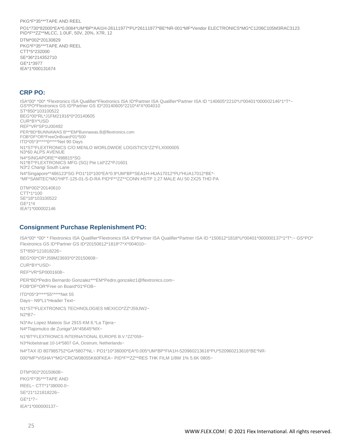#### PKG\*F\*35\*\*\*TAPE AND REEL

PO1\*730\*82000\*EA\*0.0084\*UM\*BP\*AAI1H-26111977\*PU\*26111977\*BE\*NR-001\*MF\*Vendor ELECTRONICS\*MG\*C1206C105M3RAC3123 PID\*F\*\*ZZ\*\*MLCC, 1.0UF, 50V, 20%, X7R, 12

DTM\*002\*20130829 PKG\*F\*35\*\*\*TAPE AND REEL CTT\*5\*232000 SE\*36\*214352710 GE\*1\*3977 IEA\*1\*000131674

#### <span id="page-24-0"></span>**CRP PO:**

ISA\*00\* \*00\* \*Flextronics ISA Qualifier\*Flextronics ISA ID\*Partner ISA Qualifier\*Partner ISA ID \*140605\*2210\*U\*00401\*000002146\*1\*T\*~ GS\*PO\*Flextronics GS ID\*Partner GS ID\*20140605\*2210\*4\*X\*004010 ST\*850\*103100522 BEG\*00\*RL\*J1FM21916\*0\*20140605 CUR\*BY\*USD REF\*VR\*SP1U00492 PER\*BD\*BUNNAWAS B\*\*\*EM\*Bunnawas.B@flextronics.com FOB\*DF\*OR\*FreeOnBoard\*01\*500 ITD\*05\*3\*\*\*\*\*0\*\*\*\*\*Net 90 Days N1\*ST\*FLEXTRONICS C/O MENLO WORLDWIDE LOGISTICS\*ZZ\*FLX000005 N3\*60 ALPS AVENUE N4\*SINGAPORE\*\*498815\*SG N1\*BT\*FLEXTRONICS MFG (SG) Pte Ltd\*ZZ\*PJ1601 N3\*2 Changi South Lane N4\*Singapore\*\*486123\*SG PO1\*10\*100\*EA\*0.9\*UM\*BP\*SEA1H-HUA17012\*PU\*HUA17012\*BE\*- \*MF\*SAMTEC\*MG\*HPT-125-01-S-D-RA PID\*F\*\*ZZ\*\*CONN HSTP 1.27 MALE AU 50 2X25 THD PA

DTM\*002\*20140610 CTT\*1\*100 SE\*18\*103100522 GE\*1\*4 IEA\*1\*000002146

### <span id="page-24-1"></span>**Consignment Purchase Replenishment PO:**

ISA\*00\* \*00\* \* Flextronics ISA Qualifier\*Flextronics ISA ID\*Partner ISA Qualifier\*Partner ISA ID \*150612\*1818\*U\*00401\*000000137\*1\*T\*:~ GS\*PO\* Flextronics GS ID\*Partner GS ID\*20150612\*1818\*7\*X\*004010~ ST\*850\*121818226~ BEG\*00\*CR\*J59M23693\*0\*20150608~ CUR\*BY\*USD~ REF\*VR\*SP0001608~ PER\*BD\*Pedro Bernardo Gonzalez\*\*\*EM\*Pedro.gonzalez1@flextronics.com~ FOB\*DF\*OR\*Free on Board\*01\*FOB~ ITD\*05\*3\*\*\*\*\*55\*\*\*\*\*Net 55 Days~ N9\*L1\*Header Text~ N1\*ST\*FLEXTRONICS TECHNOLOGIES MEXICO\*ZZ\*J59JW2~ N2\*B7~ N3\*Av Lopez Mateos Sur 2915 KM 6.\*La Tijera~ N4\*Tlajomulco de Zuniga\*JA\*45645\*MX~ N1\*BT\*FLEXTRONICS INTERNATIONAL EUROPE B.V.\*ZZ\*059~ N3\*Nobelstraat 10-14\*5807 GA, Oostrum, Netherlands~ N4\*TAX ID 807985752\*GA\*5807\*NL~ PO1\*10\*38000\*EA\*0.005\*UM\*BP\*FIA1H-520960213616\*PU\*520960213616\*BE\*NR-000\*MF\*VISHAY\*MG\*CRCW08055K60FKEA~ PID\*F\*\*ZZ\*\*RES THK FILM 1/8W 1% 5.6K 0805~

DTM\*002\*20150608~ PKG\*F\*35\*\*\*TAPE AND REEL~ CTT\*1\*38000.0~ SE\*21\*121818226~  $GF*1*7~$ IEA\*1\*000000137~